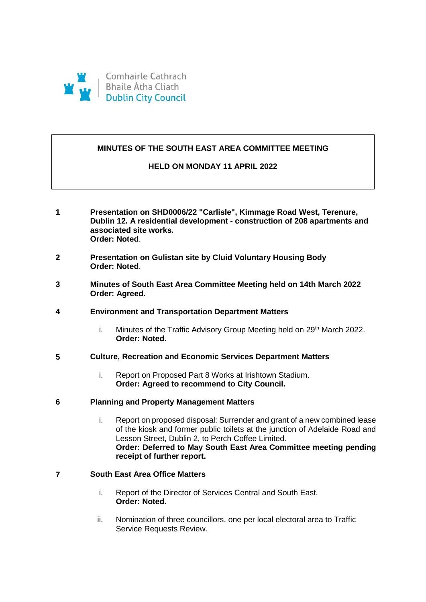

# **MINUTES OF THE SOUTH EAST AREA COMMITTEE MEETING**

## **HELD ON MONDAY 11 APRIL 2022**

- **1 Presentation on SHD0006/22 "Carlisle", Kimmage Road West, Terenure, Dublin 12. A residential development - construction of 208 apartments and associated site works. Order: Noted**.
- **2 Presentation on Gulistan site by Cluid Voluntary Housing Body Order: Noted**.
- **3 Minutes of South East Area Committee Meeting held on 14th March 2022 Order: Agreed.**

### **4 Environment and Transportation Department Matters**

i. Minutes of the Traffic Advisory Group Meeting held on 29<sup>th</sup> March 2022. **Order: Noted.**

# **5 Culture, Recreation and Economic Services Department Matters**

i. Report on Proposed Part 8 Works at Irishtown Stadium. **Order: Agreed to recommend to City Council.**

### **6 Planning and Property Management Matters**

i. Report on proposed disposal: Surrender and grant of a new combined lease of the kiosk and former public toilets at the junction of Adelaide Road and Lesson Street, Dublin 2, to Perch Coffee Limited. **Order: Deferred to May South East Area Committee meeting pending receipt of further report.**

# **7 South East Area Office Matters**

- i. Report of the Director of Services Central and South East. **Order: Noted.**
- ii. Nomination of three councillors, one per local electoral area to Traffic Service Requests Review.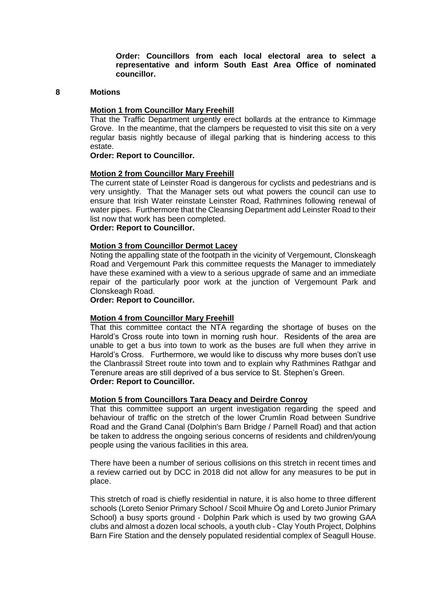**Order: Councillors from each local electoral area to select a representative and inform South East Area Office of nominated councillor.**

#### **8 Motions**

#### **Motion 1 from Councillor Mary Freehill**

That the Traffic Department urgently erect bollards at the entrance to Kimmage Grove. In the meantime, that the clampers be requested to visit this site on a very regular basis nightly because of illegal parking that is hindering access to this estate.

## **Order: Report to Councillor.**

#### **Motion 2 from Councillor Mary Freehill**

The current state of Leinster Road is dangerous for cyclists and pedestrians and is very unsightly. That the Manager sets out what powers the council can use to ensure that Irish Water reinstate Leinster Road, Rathmines following renewal of water pipes. Furthermore that the Cleansing Department add Leinster Road to their list now that work has been completed.

# **Order: Report to Councillor.**

#### **Motion 3 from Councillor Dermot Lacey**

Noting the appalling state of the footpath in the vicinity of Vergemount, Clonskeagh Road and Vergemount Park this committee requests the Manager to immediately have these examined with a view to a serious upgrade of same and an immediate repair of the particularly poor work at the junction of Vergemount Park and Clonskeagh Road.

**Order: Report to Councillor.**

#### **Motion 4 from Councillor Mary Freehill**

That this committee contact the NTA regarding the shortage of buses on the Harold's Cross route into town in morning rush hour. Residents of the area are unable to get a bus into town to work as the buses are full when they arrive in Harold's Cross. Furthermore, we would like to discuss why more buses don't use the Clanbrassil Street route into town and to explain why Rathmines Rathgar and Terenure areas are still deprived of a bus service to St. Stephen's Green. **Order: Report to Councillor.**

### **Motion 5 from Councillors Tara Deacy and Deirdre Conroy**

That this committee support an urgent investigation regarding the speed and behaviour of traffic on the stretch of the lower Crumlin Road between Sundrive Road and the Grand Canal (Dolphin's Barn Bridge / Parnell Road) and that action be taken to address the ongoing serious concerns of residents and children/young people using the various facilities in this area.

There have been a number of serious collisions on this stretch in recent times and a review carried out by DCC in 2018 did not allow for any measures to be put in place.

This stretch of road is chiefly residential in nature, it is also home to three different schools (Loreto Senior Primary School / Scoil Mhuire Óg and Loreto Junior Primary School) a busy sports ground - Dolphin Park which is used by two growing GAA clubs and almost a dozen local schools, a youth club - Clay Youth Project, Dolphins Barn Fire Station and the densely populated residential complex of Seagull House.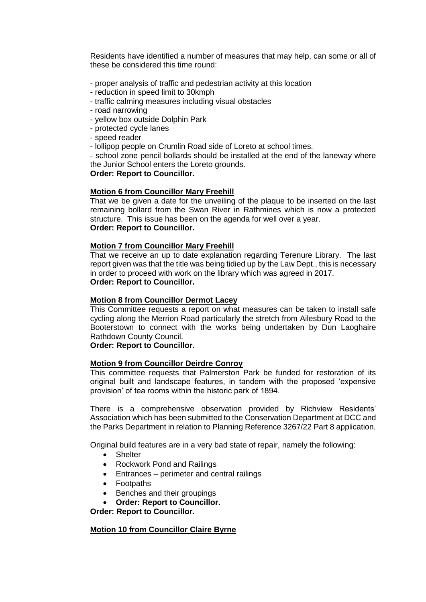Residents have identified a number of measures that may help, can some or all of these be considered this time round:

- proper analysis of traffic and pedestrian activity at this location
- reduction in speed limit to 30kmph
- traffic calming measures including visual obstacles
- road narrowing
- yellow box outside Dolphin Park
- protected cycle lanes
- speed reader
- lollipop people on Crumlin Road side of Loreto at school times.

- school zone pencil bollards should be installed at the end of the laneway where the Junior School enters the Loreto grounds.

## **Order: Report to Councillor.**

## **Motion 6 from Councillor Mary Freehill**

That we be given a date for the unveiling of the plaque to be inserted on the last remaining bollard from the Swan River in Rathmines which is now a protected structure. This issue has been on the agenda for well over a year. **Order: Report to Councillor.**

### **Motion 7 from Councillor Mary Freehill**

That we receive an up to date explanation regarding Terenure Library. The last report given was that the title was being tidied up by the Law Dept., this is necessary in order to proceed with work on the library which was agreed in 2017. **Order: Report to Councillor.**

## **Motion 8 from Councillor Dermot Lacey**

This Committee requests a report on what measures can be taken to install safe cycling along the Merrion Road particularly the stretch from Ailesbury Road to the Booterstown to connect with the works being undertaken by Dun Laoghaire Rathdown County Council.

### **Order: Report to Councillor.**

### **Motion 9 from Councillor Deirdre Conroy**

This committee requests that Palmerston Park be funded for restoration of its original built and landscape features, in tandem with the proposed 'expensive provision' of tea rooms within the historic park of 1894.

There is a comprehensive observation provided by Richview Residents' Association which has been submitted to the Conservation Department at DCC and the Parks Department in relation to Planning Reference 3267/22 Part 8 application.

Original build features are in a very bad state of repair, namely the following:

- Shelter
- Rockwork Pond and Railings
- Entrances perimeter and central railings
- Footpaths
- Benches and their groupings
- **Order: Report to Councillor.**

**Order: Report to Councillor.**

### **Motion 10 from Councillor Claire Byrne**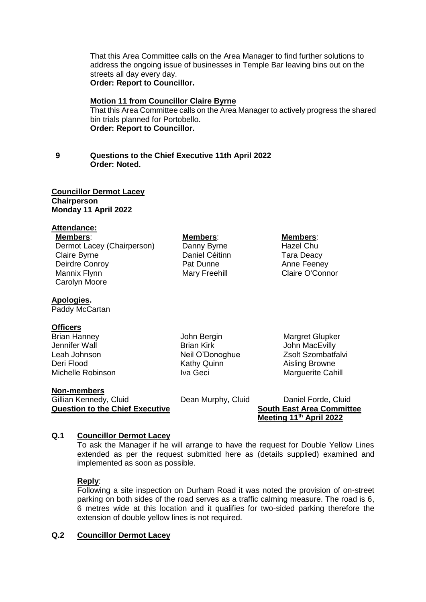That this Area Committee calls on the Area Manager to find further solutions to address the ongoing issue of businesses in Temple Bar leaving bins out on the streets all day every day. **Order: Report to Councillor.**

#### **Motion 11 from Councillor Claire Byrne**

That this Area Committee calls on the Area Manager to actively progress the shared bin trials planned for Portobello. **Order: Report to Councillor.**

## **9 Questions to the Chief Executive 11th April 2022 Order: Noted.**

#### **Councillor Dermot Lacey Chairperson Monday 11 April 2022**

#### **Attendance:**

**Members**: **Members**: **Members**: Dermot Lacey (Chairperson) Danny Byrne Hazel Chu Claire Byrne Daniel Céitinn Tara Deacy Deirdre Conroy Pat Dunne Anne Feeney Mannix Flynn Mary Freehill Claire O'Connor Carolyn Moore

#### **Apologies.**

Paddy McCartan

## **Officers**

**Brian Hanney Communist Communist Stranger Hanney Stranger Communist Communist Communist Communist Communist Communist Communist Communist Communist Communist Communist Communist Communist Communist Communist Communist Com** Jennifer Wall **Brian Kirk MacEvilly** Brian Kirk John MacEvilly Leah Johnson Neil O'Donoghue Zsolt Szombatfalvi Deri Flood **Contract Contract Contract Contract Contract Contract Contract Contract Contract Contract Contract Contract Contract Contract Contract Contract Contract Contract Contract Contract Contract Contract Contract Con** Michelle Robinson Iva Geci Marguerite Cahill

#### **Non-members**

Gillian Kennedy, Cluid **Dean Murphy, Cluid** Daniel Forde, Cluid **Question to the Chief Executive South East Area Committee**

**Meeting 11th April 2022**

### **Q.1 Councillor Dermot Lacey**

To ask the Manager if he will arrange to have the request for Double Yellow Lines extended as per the request submitted here as (details supplied) examined and implemented as soon as possible.

#### **Reply**:

Following a site inspection on Durham Road it was noted the provision of on-street parking on both sides of the road serves as a traffic calming measure. The road is 6, 6 metres wide at this location and it qualifies for two-sided parking therefore the extension of double yellow lines is not required.

# **Q.2 Councillor Dermot Lacey**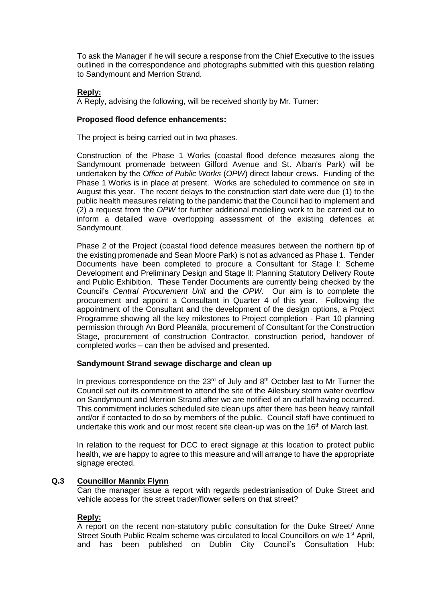To ask the Manager if he will secure a response from the Chief Executive to the issues outlined in the correspondence and photographs submitted with this question relating to Sandymount and Merrion Strand.

# **Reply:**

A Reply, advising the following, will be received shortly by Mr. Turner:

## **Proposed flood defence enhancements:**

The project is being carried out in two phases.

Construction of the Phase 1 Works (coastal flood defence measures along the Sandymount promenade between Gilford Avenue and St. Alban's Park) will be undertaken by the *Office of Public Works* (*OPW*) direct labour crews. Funding of the Phase 1 Works is in place at present. Works are scheduled to commence on site in August this year. The recent delays to the construction start date were due (1) to the public health measures relating to the pandemic that the Council had to implement and (2) a request from the *OPW* for further additional modelling work to be carried out to inform a detailed wave overtopping assessment of the existing defences at Sandymount.

Phase 2 of the Project (coastal flood defence measures between the northern tip of the existing promenade and Sean Moore Park) is not as advanced as Phase 1. Tender Documents have been completed to procure a Consultant for Stage I: Scheme Development and Preliminary Design and Stage II: Planning Statutory Delivery Route and Public Exhibition. These Tender Documents are currently being checked by the Council's *Central Procurement Unit* and the *OPW*. Our aim is to complete the procurement and appoint a Consultant in Quarter 4 of this year. Following the appointment of the Consultant and the development of the design options, a Project Programme showing all the key milestones to Project completion - Part 10 planning permission through An Bord Pleanála, procurement of Consultant for the Construction Stage, procurement of construction Contractor, construction period, handover of completed works – can then be advised and presented.

### **Sandymount Strand sewage discharge and clean up**

In previous correspondence on the  $23<sup>rd</sup>$  of July and  $8<sup>th</sup>$  October last to Mr Turner the Council set out its commitment to attend the site of the Ailesbury storm water overflow on Sandymount and Merrion Strand after we are notified of an outfall having occurred. This commitment includes scheduled site clean ups after there has been heavy rainfall and/or if contacted to do so by members of the public. Council staff have continued to undertake this work and our most recent site clean-up was on the  $16<sup>th</sup>$  of March last.

In relation to the request for DCC to erect signage at this location to protect public health, we are happy to agree to this measure and will arrange to have the appropriate signage erected.

# **Q.3 Councillor Mannix Flynn**

Can the manager issue a report with regards pedestrianisation of Duke Street and vehicle access for the street trader/flower sellers on that street?

### **Reply:**

A report on the recent non-statutory public consultation for the Duke Street/ Anne Street South Public Realm scheme was circulated to local Councillors on w/e 1<sup>st</sup> April, and has been published on Dublin City Council's Consultation Hub: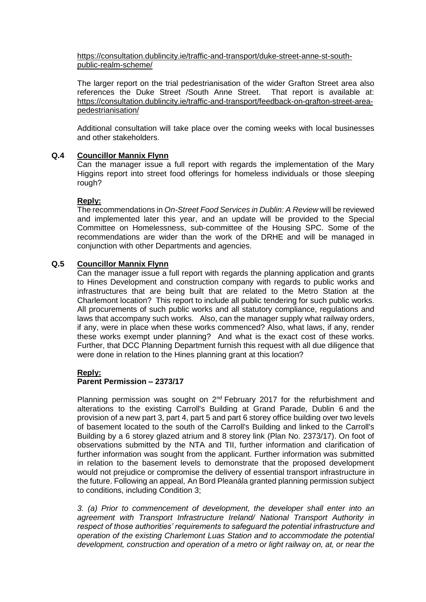[https://consultation.dublincity.ie/traffic-and-transport/duke-street-anne-st-south](https://consultation.dublincity.ie/traffic-and-transport/duke-street-anne-st-south-public-realm-scheme/)[public-realm-scheme/](https://consultation.dublincity.ie/traffic-and-transport/duke-street-anne-st-south-public-realm-scheme/)

The larger report on the trial pedestrianisation of the wider Grafton Street area also references the Duke Street /South Anne Street. That report is available at: [https://consultation.dublincity.ie/traffic-and-transport/feedback-on-grafton-street-area](https://consultation.dublincity.ie/traffic-and-transport/feedback-on-grafton-street-area-pedestrianisation/)[pedestrianisation/](https://consultation.dublincity.ie/traffic-and-transport/feedback-on-grafton-street-area-pedestrianisation/)

Additional consultation will take place over the coming weeks with local businesses and other stakeholders.

## **Q.4 Councillor Mannix Flynn**

Can the manager issue a full report with regards the implementation of the Mary Higgins report into street food offerings for homeless individuals or those sleeping rough?

## **Reply:**

The recommendations in *On-Street Food Services in Dublin: A Review* will be reviewed and implemented later this year, and an update will be provided to the Special Committee on Homelessness, sub-committee of the Housing SPC. Some of the recommendations are wider than the work of the DRHE and will be managed in conjunction with other Departments and agencies.

# **Q.5 Councillor Mannix Flynn**

Can the manager issue a full report with regards the planning application and grants to Hines Development and construction company with regards to public works and infrastructures that are being built that are related to the Metro Station at the Charlemont location? This report to include all public tendering for such public works. All procurements of such public works and all statutory compliance, regulations and laws that accompany such works. Also, can the manager supply what railway orders, if any, were in place when these works commenced? Also, what laws, if any, render these works exempt under planning? And what is the exact cost of these works. Further, that DCC Planning Department furnish this request with all due diligence that were done in relation to the Hines planning grant at this location?

# **Reply:**

# **Parent Permission – 2373/17**

Planning permission was sought on  $2^{nd}$  February 2017 for the refurbishment and alterations to the existing Carroll's Building at Grand Parade, Dublin 6 and the provision of a new part 3, part 4, part 5 and part 6 storey office building over two levels of basement located to the south of the Carroll's Building and linked to the Carroll's Building by a 6 storey glazed atrium and 8 storey link (Plan No. 2373/17). On foot of observations submitted by the NTA and TII, further information and clarification of further information was sought from the applicant. Further information was submitted in relation to the basement levels to demonstrate that the proposed development would not prejudice or compromise the delivery of essential transport infrastructure in the future. Following an appeal, An Bord Pleanála granted planning permission subject to conditions, including Condition 3;

*3. (a) Prior to commencement of development, the developer shall enter into an agreement with Transport Infrastructure Ireland/ National Transport Authority in respect of those authorities' requirements to safeguard the potential infrastructure and operation of the existing Charlemont Luas Station and to accommodate the potential development, construction and operation of a metro or light railway on, at, or near the*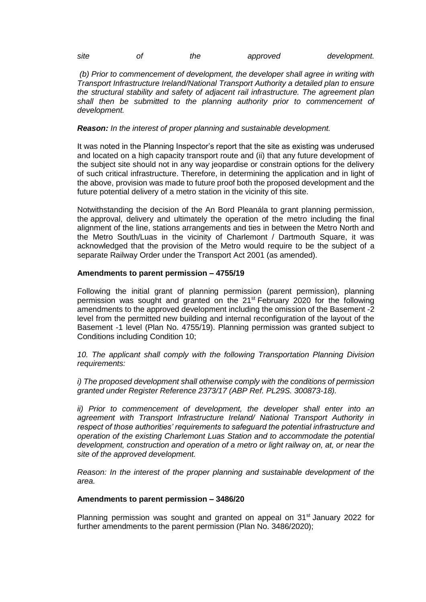| site | the | approved | development. |
|------|-----|----------|--------------|
|      |     |          |              |

*(b) Prior to commencement of development, the developer shall agree in writing with Transport Infrastructure Ireland/National Transport Authority a detailed plan to ensure the structural stability and safety of adjacent rail infrastructure. The agreement plan shall then be submitted to the planning authority prior to commencement of development.*

## *Reason: In the interest of proper planning and sustainable development.*

It was noted in the Planning Inspector's report that the site as existing was underused and located on a high capacity transport route and (ii) that any future development of the subject site should not in any way jeopardise or constrain options for the delivery of such critical infrastructure. Therefore, in determining the application and in light of the above, provision was made to future proof both the proposed development and the future potential delivery of a metro station in the vicinity of this site.

Notwithstanding the decision of the An Bord Pleanála to grant planning permission, the approval, delivery and ultimately the operation of the metro including the final alignment of the line, stations arrangements and ties in between the Metro North and the Metro South/Luas in the vicinity of Charlemont / Dartmouth Square, it was acknowledged that the provision of the Metro would require to be the subject of a separate Railway Order under the Transport Act 2001 (as amended).

## **Amendments to parent permission – 4755/19**

Following the initial grant of planning permission (parent permission), planning permission was sought and granted on the 21<sup>st</sup> February 2020 for the following amendments to the approved development including the omission of the Basement -2 level from the permitted new building and internal reconfiguration of the layout of the Basement -1 level (Plan No. 4755/19). Planning permission was granted subject to Conditions including Condition 10;

*10. The applicant shall comply with the following Transportation Planning Division requirements:*

*i) The proposed development shall otherwise comply with the conditions of permission granted under Register Reference 2373/17 (ABP Ref. PL29S. 300873-18).*

*ii)* Prior to commencement of development, the developer shall enter into an *agreement with Transport Infrastructure Ireland/ National Transport Authority in respect of those authorities' requirements to safeguard the potential infrastructure and operation of the existing Charlemont Luas Station and to accommodate the potential development, construction and operation of a metro or light railway on, at, or near the site of the approved development.*

*Reason: In the interest of the proper planning and sustainable development of the area.*

### **Amendments to parent permission – 3486/20**

Planning permission was sought and granted on appeal on 31st January 2022 for further amendments to the parent permission (Plan No. 3486/2020);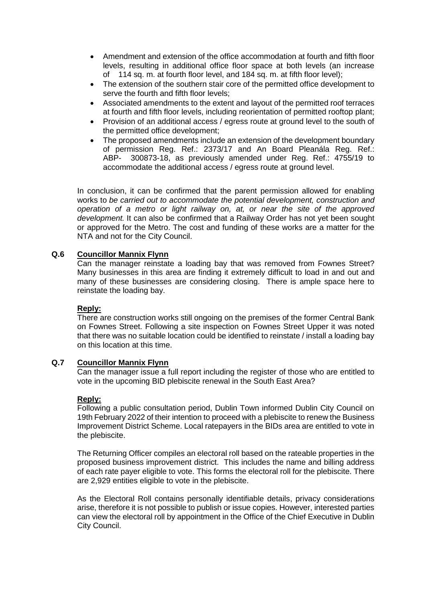- Amendment and extension of the office accommodation at fourth and fifth floor levels, resulting in additional office floor space at both levels (an increase of 114 sq. m. at fourth floor level, and 184 sq. m. at fifth floor level);
- The extension of the southern stair core of the permitted office development to serve the fourth and fifth floor levels;
- Associated amendments to the extent and layout of the permitted roof terraces at fourth and fifth floor levels, including reorientation of permitted rooftop plant;
- Provision of an additional access / egress route at ground level to the south of the permitted office development;
- The proposed amendments include an extension of the development boundary of permission Reg. Ref.: 2373/17 and An Board Pleanála Reg. Ref.: ABP- 300873-18, as previously amended under Reg. Ref.: 4755/19 to accommodate the additional access / egress route at ground level.

In conclusion, it can be confirmed that the parent permission allowed for enabling works to *be carried out to accommodate the potential development, construction and operation of a metro or light railway on, at, or near the site of the approved development.* It can also be confirmed that a Railway Order has not yet been sought or approved for the Metro. The cost and funding of these works are a matter for the NTA and not for the City Council.

# **Q.6 Councillor Mannix Flynn**

Can the manager reinstate a loading bay that was removed from Fownes Street? Many businesses in this area are finding it extremely difficult to load in and out and many of these businesses are considering closing. There is ample space here to reinstate the loading bay.

# **Reply:**

There are construction works still ongoing on the premises of the former Central Bank on Fownes Street. Following a site inspection on Fownes Street Upper it was noted that there was no suitable location could be identified to reinstate / install a loading bay on this location at this time.

# **Q.7 Councillor Mannix Flynn**

Can the manager issue a full report including the register of those who are entitled to vote in the upcoming BID plebiscite renewal in the South East Area?

# **Reply:**

Following a public consultation period, Dublin Town informed Dublin City Council on 19th February 2022 of their intention to proceed with a plebiscite to renew the Business Improvement District Scheme. Local ratepayers in the BIDs area are entitled to vote in the plebiscite.

The Returning Officer compiles an electoral roll based on the rateable properties in the proposed business improvement district. This includes the name and billing address of each rate payer eligible to vote. This forms the electoral roll for the plebiscite. There are 2,929 entities eligible to vote in the plebiscite.

As the Electoral Roll contains personally identifiable details, privacy considerations arise, therefore it is not possible to publish or issue copies. However, interested parties can view the electoral roll by appointment in the Office of the Chief Executive in Dublin City Council.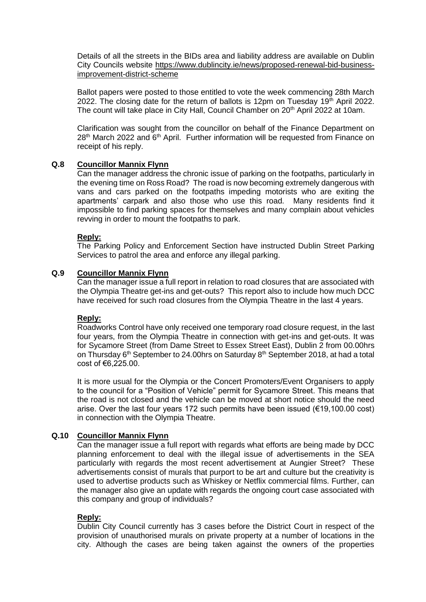Details of all the streets in the BIDs area and liability address are available on Dublin City Councils website [https://www.dublincity.ie/news/proposed-renewal-bid-business](https://www.dublincity.ie/news/proposed-renewal-bid-business-improvement-district-scheme)[improvement-district-scheme](https://www.dublincity.ie/news/proposed-renewal-bid-business-improvement-district-scheme)

Ballot papers were posted to those entitled to vote the week commencing 28th March 2022. The closing date for the return of ballots is 12pm on Tuesday 19 $^{\text{th}}$  April 2022. The count will take place in City Hall, Council Chamber on  $20<sup>th</sup>$  April 2022 at 10am.

Clarification was sought from the councillor on behalf of the Finance Department on 28<sup>th</sup> March 2022 and 6<sup>th</sup> April. Further information will be requested from Finance on receipt of his reply.

## **Q.8 Councillor Mannix Flynn**

Can the manager address the chronic issue of parking on the footpaths, particularly in the evening time on Ross Road? The road is now becoming extremely dangerous with vans and cars parked on the footpaths impeding motorists who are exiting the apartments' carpark and also those who use this road. Many residents find it impossible to find parking spaces for themselves and many complain about vehicles revving in order to mount the footpaths to park.

## **Reply:**

The Parking Policy and Enforcement Section have instructed Dublin Street Parking Services to patrol the area and enforce any illegal parking.

## **Q.9 Councillor Mannix Flynn**

Can the manager issue a full report in relation to road closures that are associated with the Olympia Theatre get-ins and get-outs? This report also to include how much DCC have received for such road closures from the Olympia Theatre in the last 4 years.

### **Reply:**

Roadworks Control have only received one temporary road closure request, in the last four years, from the Olympia Theatre in connection with get-ins and get-outs. It was for Sycamore Street (from Dame Street to Essex Street East), Dublin 2 from 00.00hrs on Thursday  $6<sup>th</sup>$  September to 24.00hrs on Saturday  $8<sup>th</sup>$  September 2018, at had a total cost of  $€6,225.00$ .

It is more usual for the Olympia or the Concert Promoters/Event Organisers to apply to the council for a "Position of Vehicle" permit for Sycamore Street. This means that the road is not closed and the vehicle can be moved at short notice should the need arise. Over the last four years 172 such permits have been issued (€19,100.00 cost) in connection with the Olympia Theatre.

# **Q.10 Councillor Mannix Flynn**

Can the manager issue a full report with regards what efforts are being made by DCC planning enforcement to deal with the illegal issue of advertisements in the SEA particularly with regards the most recent advertisement at Aungier Street? These advertisements consist of murals that purport to be art and culture but the creativity is used to advertise products such as Whiskey or Netflix commercial films. Further, can the manager also give an update with regards the ongoing court case associated with this company and group of individuals?

### **Reply:**

Dublin City Council currently has 3 cases before the District Court in respect of the provision of unauthorised murals on private property at a number of locations in the city. Although the cases are being taken against the owners of the properties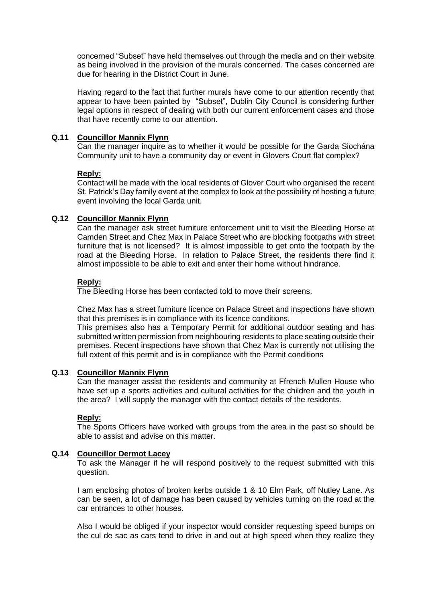concerned "Subset" have held themselves out through the media and on their website as being involved in the provision of the murals concerned. The cases concerned are due for hearing in the District Court in June.

Having regard to the fact that further murals have come to our attention recently that appear to have been painted by "Subset", Dublin City Council is considering further legal options in respect of dealing with both our current enforcement cases and those that have recently come to our attention.

# **Q.11 Councillor Mannix Flynn**

Can the manager inquire as to whether it would be possible for the Garda Siochána Community unit to have a community day or event in Glovers Court flat complex?

### **Reply:**

Contact will be made with the local residents of Glover Court who organised the recent St. Patrick's Day family event at the complex to look at the possibility of hosting a future event involving the local Garda unit.

## **Q.12 Councillor Mannix Flynn**

Can the manager ask street furniture enforcement unit to visit the Bleeding Horse at Camden Street and Chez Max in Palace Street who are blocking footpaths with street furniture that is not licensed? It is almost impossible to get onto the footpath by the road at the Bleeding Horse. In relation to Palace Street, the residents there find it almost impossible to be able to exit and enter their home without hindrance.

# **Reply:**

The Bleeding Horse has been contacted told to move their screens.

Chez Max has a street furniture licence on Palace Street and inspections have shown that this premises is in compliance with its licence conditions.

This premises also has a Temporary Permit for additional outdoor seating and has submitted written permission from neighbouring residents to place seating outside their premises. Recent inspections have shown that Chez Max is currently not utilising the full extent of this permit and is in compliance with the Permit conditions

### **Q.13 Councillor Mannix Flynn**

Can the manager assist the residents and community at Ffrench Mullen House who have set up a sports activities and cultural activities for the children and the youth in the area? I will supply the manager with the contact details of the residents.

# **Reply:**

The Sports Officers have worked with groups from the area in the past so should be able to assist and advise on this matter.

# **Q.14 Councillor Dermot Lacey**

To ask the Manager if he will respond positively to the request submitted with this question.

I am enclosing photos of broken kerbs outside 1 & 10 Elm Park, off Nutley Lane. As can be seen, a lot of damage has been caused by vehicles turning on the road at the car entrances to other houses.

Also I would be obliged if your inspector would consider requesting speed bumps on the cul de sac as cars tend to drive in and out at high speed when they realize they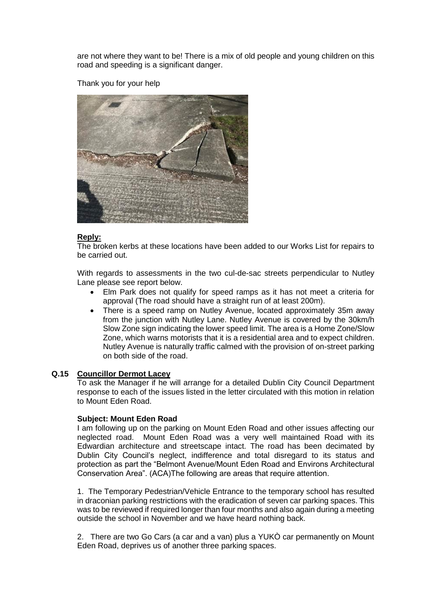are not where they want to be! There is a mix of old people and young children on this road and speeding is a significant danger.

Thank you for your help



## **Reply:**

The broken kerbs at these locations have been added to our Works List for repairs to be carried out.

With regards to assessments in the two cul-de-sac streets perpendicular to Nutley Lane please see report below.

- Elm Park does not qualify for speed ramps as it has not meet a criteria for approval (The road should have a straight run of at least 200m).
- There is a speed ramp on Nutley Avenue, located approximately 35m away from the junction with Nutley Lane. Nutley Avenue is covered by the 30km/h Slow Zone sign indicating the lower speed limit. The area is a Home Zone/Slow Zone, which warns motorists that it is a residential area and to expect children. Nutley Avenue is naturally traffic calmed with the provision of on-street parking on both side of the road.

### **Q.15 Councillor Dermot Lacey**

To ask the Manager if he will arrange for a detailed Dublin City Council Department response to each of the issues listed in the letter circulated with this motion in relation to Mount Eden Road.

### **Subject: Mount Eden Road**

I am following up on the parking on Mount Eden Road and other issues affecting our neglected road. Mount Eden Road was a very well maintained Road with its Edwardian architecture and streetscape intact. The road has been decimated by Dublin City Council's neglect, indifference and total disregard to its status and protection as part the "Belmont Avenue/Mount Eden Road and Environs Architectural Conservation Area". (ACA)The following are areas that require attention.

1. The Temporary Pedestrian/Vehicle Entrance to the temporary school has resulted in draconian parking restrictions with the eradication of seven car parking spaces. This was to be reviewed if required longer than four months and also again during a meeting outside the school in November and we have heard nothing back.

2. There are two Go Cars (a car and a van) plus a YUKÒ car permanently on Mount Eden Road, deprives us of another three parking spaces.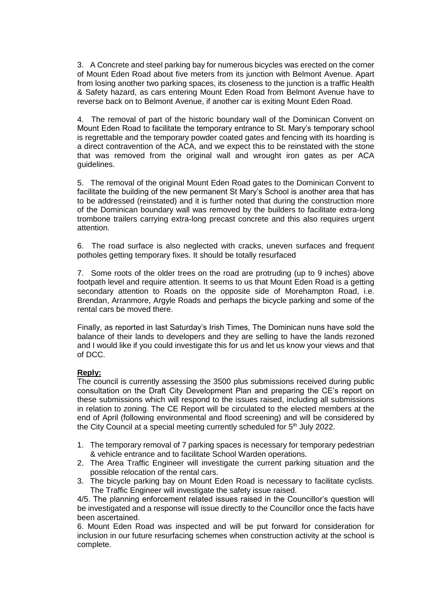3. A Concrete and steel parking bay for numerous bicycles was erected on the corner of Mount Eden Road about five meters from its junction with Belmont Avenue. Apart from losing another two parking spaces, its closeness to the junction is a traffic Health & Safety hazard, as cars entering Mount Eden Road from Belmont Avenue have to reverse back on to Belmont Avenue, if another car is exiting Mount Eden Road.

4. The removal of part of the historic boundary wall of the Dominican Convent on Mount Eden Road to facilitate the temporary entrance to St. Mary's temporary school is regrettable and the temporary powder coated gates and fencing with its hoarding is a direct contravention of the ACA, and we expect this to be reinstated with the stone that was removed from the original wall and wrought iron gates as per ACA guidelines.

5. The removal of the original Mount Eden Road gates to the Dominican Convent to facilitate the building of the new permanent St Mary's School is another area that has to be addressed (reinstated) and it is further noted that during the construction more of the Dominican boundary wall was removed by the builders to facilitate extra-long trombone trailers carrying extra-long precast concrete and this also requires urgent attention.

6. The road surface is also neglected with cracks, uneven surfaces and frequent potholes getting temporary fixes. It should be totally resurfaced

7. Some roots of the older trees on the road are protruding (up to 9 inches) above footpath level and require attention. It seems to us that Mount Eden Road is a getting secondary attention to Roads on the opposite side of Morehampton Road, i.e. Brendan, Arranmore, Argyle Roads and perhaps the bicycle parking and some of the rental cars be moved there.

Finally, as reported in last Saturday's Irish Times, The Dominican nuns have sold the balance of their lands to developers and they are selling to have the lands rezoned and I would like if you could investigate this for us and let us know your views and that of DCC.

# **Reply:**

The council is currently assessing the 3500 plus submissions received during public consultation on the Draft City Development Plan and preparing the CE's report on these submissions which will respond to the issues raised, including all submissions in relation to zoning. The CE Report will be circulated to the elected members at the end of April (following environmental and flood screening) and will be considered by the City Council at a special meeting currently scheduled for 5<sup>th</sup> July 2022.

- 1. The temporary removal of 7 parking spaces is necessary for temporary pedestrian & vehicle entrance and to facilitate School Warden operations.
- 2. The Area Traffic Engineer will investigate the current parking situation and the possible relocation of the rental cars.
- 3. The bicycle parking bay on Mount Eden Road is necessary to facilitate cyclists. The Traffic Engineer will investigate the safety issue raised.

4/5. The planning enforcement related issues raised in the Councillor's question will be investigated and a response will issue directly to the Councillor once the facts have been ascertained.

6. Mount Eden Road was inspected and will be put forward for consideration for inclusion in our future resurfacing schemes when construction activity at the school is complete.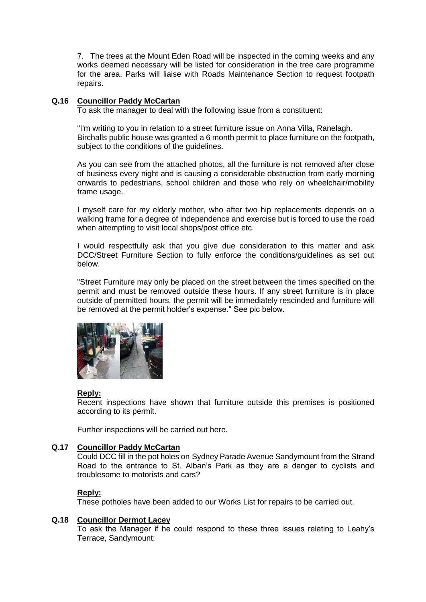7. The trees at the Mount Eden Road will be inspected in the coming weeks and any works deemed necessary will be listed for consideration in the tree care programme for the area. Parks will liaise with Roads Maintenance Section to request footpath repairs.

# **Q.16 Councillor Paddy McCartan**

To ask the manager to deal with the following issue from a constituent:

"I'm writing to you in relation to a street furniture issue on Anna Villa, Ranelagh. Birchalls public house was granted a 6 month permit to place furniture on the footpath, subject to the conditions of the quidelines.

As you can see from the attached photos, all the furniture is not removed after close of business every night and is causing a considerable obstruction from early morning onwards to pedestrians, school children and those who rely on wheelchair/mobility frame usage.

I myself care for my elderly mother, who after two hip replacements depends on a walking frame for a degree of independence and exercise but is forced to use the road when attempting to visit local shops/post office etc.

I would respectfully ask that you give due consideration to this matter and ask DCC/Street Furniture Section to fully enforce the conditions/guidelines as set out below.

"Street Furniture may only be placed on the street between the times specified on the permit and must be removed outside these hours. If any street furniture is in place outside of permitted hours, the permit will be immediately rescinded and furniture will be removed at the permit holder's expense." See pic below.



# **Reply:**

Recent inspections have shown that furniture outside this premises is positioned according to its permit.

Further inspections will be carried out here.

# **Q.17 Councillor Paddy McCartan**

Could DCC fill in the pot holes on Sydney Parade Avenue Sandymount from the Strand Road to the entrance to St. Alban's Park as they are a danger to cyclists and troublesome to motorists and cars?

# **Reply:**

These potholes have been added to our Works List for repairs to be carried out.

# **Q.18 Councillor Dermot Lacey**

To ask the Manager if he could respond to these three issues relating to Leahy's Terrace, Sandymount: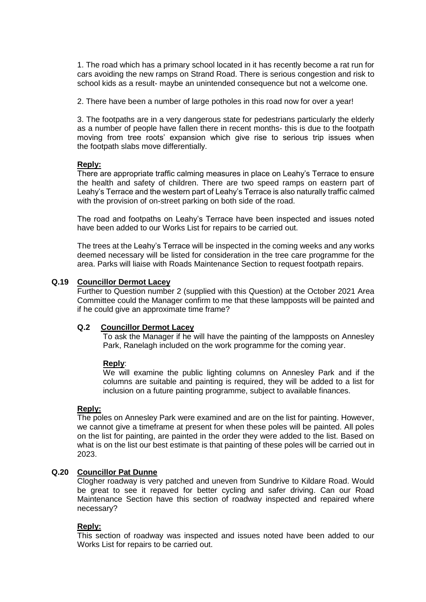1. The road which has a primary school located in it has recently become a rat run for cars avoiding the new ramps on Strand Road. There is serious congestion and risk to school kids as a result- maybe an unintended consequence but not a welcome one.

2. There have been a number of large potholes in this road now for over a year!

3. The footpaths are in a very dangerous state for pedestrians particularly the elderly as a number of people have fallen there in recent months- this is due to the footpath moving from tree roots' expansion which give rise to serious trip issues when the footpath slabs move differentially.

## **Reply:**

There are appropriate traffic calming measures in place on Leahy's Terrace to ensure the health and safety of children. There are two speed ramps on eastern part of Leahy's Terrace and the western part of Leahy's Terrace is also naturally traffic calmed with the provision of on-street parking on both side of the road.

The road and footpaths on Leahy's Terrace have been inspected and issues noted have been added to our Works List for repairs to be carried out.

The trees at the Leahy's Terrace will be inspected in the coming weeks and any works deemed necessary will be listed for consideration in the tree care programme for the area. Parks will liaise with Roads Maintenance Section to request footpath repairs.

## **Q.19 Councillor Dermot Lacey**

Further to Question number 2 (supplied with this Question) at the October 2021 Area Committee could the Manager confirm to me that these lampposts will be painted and if he could give an approximate time frame?

### **Q.2 Councillor Dermot Lacey**

To ask the Manager if he will have the painting of the lampposts on Annesley Park, Ranelagh included on the work programme for the coming year.

# **Reply**:

We will examine the public lighting columns on Annesley Park and if the columns are suitable and painting is required, they will be added to a list for inclusion on a future painting programme, subject to available finances.

### **Reply:**

The poles on Annesley Park were examined and are on the list for painting. However, we cannot give a timeframe at present for when these poles will be painted. All poles on the list for painting, are painted in the order they were added to the list. Based on what is on the list our best estimate is that painting of these poles will be carried out in 2023.

# **Q.20 Councillor Pat Dunne**

Clogher roadway is very patched and uneven from Sundrive to Kildare Road. Would be great to see it repaved for better cycling and safer driving. Can our Road Maintenance Section have this section of roadway inspected and repaired where necessary?

### **Reply:**

This section of roadway was inspected and issues noted have been added to our Works List for repairs to be carried out.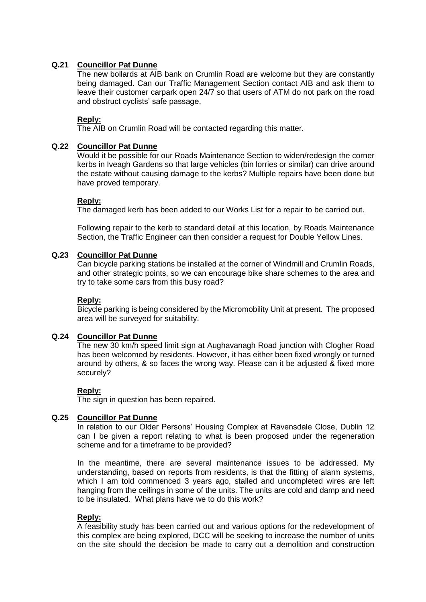# **Q.21 Councillor Pat Dunne**

The new bollards at AIB bank on Crumlin Road are welcome but they are constantly being damaged. Can our Traffic Management Section contact AIB and ask them to leave their customer carpark open 24/7 so that users of ATM do not park on the road and obstruct cyclists' safe passage.

# **Reply:**

The AIB on Crumlin Road will be contacted regarding this matter.

## **Q.22 Councillor Pat Dunne**

Would it be possible for our Roads Maintenance Section to widen/redesign the corner kerbs in Iveagh Gardens so that large vehicles (bin lorries or similar) can drive around the estate without causing damage to the kerbs? Multiple repairs have been done but have proved temporary.

## **Reply:**

The damaged kerb has been added to our Works List for a repair to be carried out.

Following repair to the kerb to standard detail at this location, by Roads Maintenance Section, the Traffic Engineer can then consider a request for Double Yellow Lines.

## **Q.23 Councillor Pat Dunne**

Can bicycle parking stations be installed at the corner of Windmill and Crumlin Roads, and other strategic points, so we can encourage bike share schemes to the area and try to take some cars from this busy road?

## **Reply:**

Bicycle parking is being considered by the Micromobility Unit at present. The proposed area will be surveyed for suitability.

# **Q.24 Councillor Pat Dunne**

The new 30 km/h speed limit sign at Aughavanagh Road junction with Clogher Road has been welcomed by residents. However, it has either been fixed wrongly or turned around by others, & so faces the wrong way. Please can it be adjusted & fixed more securely?

# **Reply:**

The sign in question has been repaired.

# **Q.25 Councillor Pat Dunne**

In relation to our Older Persons' Housing Complex at Ravensdale Close, Dublin 12 can I be given a report relating to what is been proposed under the regeneration scheme and for a timeframe to be provided?

In the meantime, there are several maintenance issues to be addressed. My understanding, based on reports from residents, is that the fitting of alarm systems, which I am told commenced 3 years ago, stalled and uncompleted wires are left hanging from the ceilings in some of the units. The units are cold and damp and need to be insulated. What plans have we to do this work?

## **Reply:**

A feasibility study has been carried out and various options for the redevelopment of this complex are being explored, DCC will be seeking to increase the number of units on the site should the decision be made to carry out a demolition and construction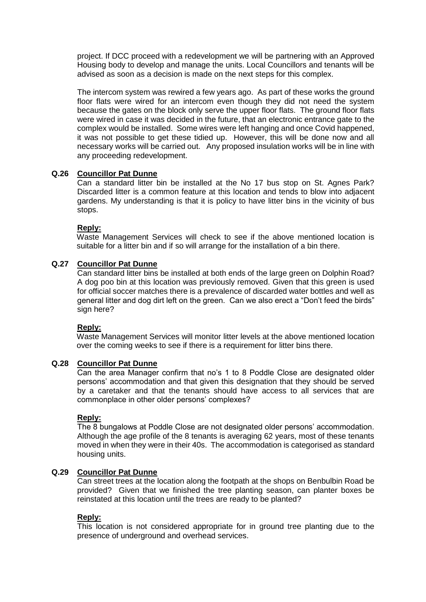project. If DCC proceed with a redevelopment we will be partnering with an Approved Housing body to develop and manage the units. Local Councillors and tenants will be advised as soon as a decision is made on the next steps for this complex.

The intercom system was rewired a few years ago. As part of these works the ground floor flats were wired for an intercom even though they did not need the system because the gates on the block only serve the upper floor flats. The ground floor flats were wired in case it was decided in the future, that an electronic entrance gate to the complex would be installed. Some wires were left hanging and once Covid happened, it was not possible to get these tidied up. However, this will be done now and all necessary works will be carried out. Any proposed insulation works will be in line with any proceeding redevelopment.

## **Q.26 Councillor Pat Dunne**

Can a standard litter bin be installed at the No 17 bus stop on St. Agnes Park? Discarded litter is a common feature at this location and tends to blow into adjacent gardens. My understanding is that it is policy to have litter bins in the vicinity of bus stops.

## **Reply:**

Waste Management Services will check to see if the above mentioned location is suitable for a litter bin and if so will arrange for the installation of a bin there.

# **Q.27 Councillor Pat Dunne**

Can standard litter bins be installed at both ends of the large green on Dolphin Road? A dog poo bin at this location was previously removed. Given that this green is used for official soccer matches there is a prevalence of discarded water bottles and well as general litter and dog dirt left on the green. Can we also erect a "Don't feed the birds" sign here?

### **Reply:**

Waste Management Services will monitor litter levels at the above mentioned location over the coming weeks to see if there is a requirement for litter bins there.

### **Q.28 Councillor Pat Dunne**

Can the area Manager confirm that no's 1 to 8 Poddle Close are designated older persons' accommodation and that given this designation that they should be served by a caretaker and that the tenants should have access to all services that are commonplace in other older persons' complexes?

### **Reply:**

The 8 bungalows at Poddle Close are not designated older persons' accommodation. Although the age profile of the 8 tenants is averaging 62 years, most of these tenants moved in when they were in their 40s. The accommodation is categorised as standard housing units.

# **Q.29 Councillor Pat Dunne**

Can street trees at the location along the footpath at the shops on Benbulbin Road be provided? Given that we finished the tree planting season, can planter boxes be reinstated at this location until the trees are ready to be planted?

### **Reply:**

This location is not considered appropriate for in ground tree planting due to the presence of underground and overhead services.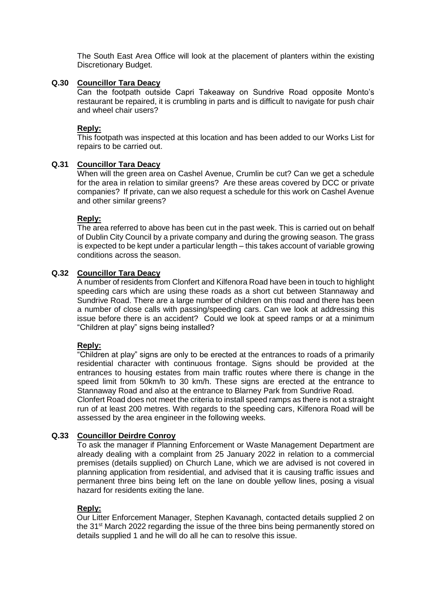The South East Area Office will look at the placement of planters within the existing Discretionary Budget.

## **Q.30 Councillor Tara Deacy**

Can the footpath outside Capri Takeaway on Sundrive Road opposite Monto's restaurant be repaired, it is crumbling in parts and is difficult to navigate for push chair and wheel chair users?

## **Reply:**

This footpath was inspected at this location and has been added to our Works List for repairs to be carried out.

## **Q.31 Councillor Tara Deacy**

When will the green area on Cashel Avenue, Crumlin be cut? Can we get a schedule for the area in relation to similar greens? Are these areas covered by DCC or private companies? If private, can we also request a schedule for this work on Cashel Avenue and other similar greens?

## **Reply:**

The area referred to above has been cut in the past week. This is carried out on behalf of Dublin City Council by a private company and during the growing season. The grass is expected to be kept under a particular length – this takes account of variable growing conditions across the season.

## **Q.32 Councillor Tara Deacy**

A number of residents from Clonfert and Kilfenora Road have been in touch to highlight speeding cars which are using these roads as a short cut between Stannaway and Sundrive Road. There are a large number of children on this road and there has been a number of close calls with passing/speeding cars. Can we look at addressing this issue before there is an accident? Could we look at speed ramps or at a minimum "Children at play" signs being installed?

# **Reply:**

"Children at play" signs are only to be erected at the entrances to roads of a primarily residential character with continuous frontage. Signs should be provided at the entrances to housing estates from main traffic routes where there is change in the speed limit from 50km/h to 30 km/h. These signs are erected at the entrance to Stannaway Road and also at the entrance to Blarney Park from Sundrive Road.

Clonfert Road does not meet the criteria to install speed ramps as there is not a straight run of at least 200 metres. With regards to the speeding cars, Kilfenora Road will be assessed by the area engineer in the following weeks.

# **Q.33 Councillor Deirdre Conroy**

To ask the manager if Planning Enforcement or Waste Management Department are already dealing with a complaint from 25 January 2022 in relation to a commercial premises (details supplied) on Church Lane, which we are advised is not covered in planning application from residential, and advised that it is causing traffic issues and permanent three bins being left on the lane on double yellow lines, posing a visual hazard for residents exiting the lane.

# **Reply:**

Our Litter Enforcement Manager, Stephen Kavanagh, contacted details supplied 2 on the 31<sup>st</sup> March 2022 regarding the issue of the three bins being permanently stored on details supplied 1 and he will do all he can to resolve this issue.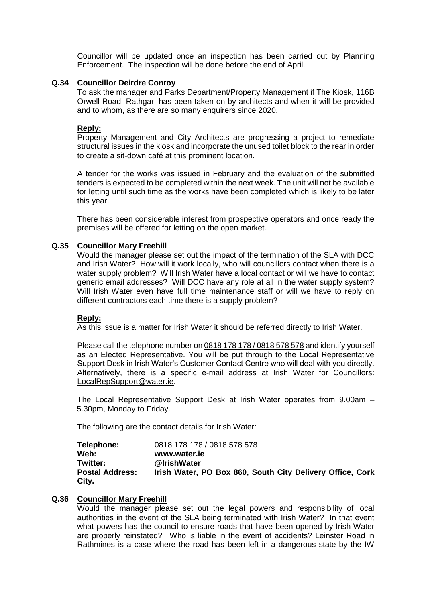Councillor will be updated once an inspection has been carried out by Planning Enforcement. The inspection will be done before the end of April.

## **Q.34 Councillor Deirdre Conroy**

To ask the manager and Parks Department/Property Management if The Kiosk, 116B Orwell Road, Rathgar, has been taken on by architects and when it will be provided and to whom, as there are so many enquirers since 2020.

## **Reply:**

Property Management and City Architects are progressing a project to remediate structural issues in the kiosk and incorporate the unused toilet block to the rear in order to create a sit-down café at this prominent location.

A tender for the works was issued in February and the evaluation of the submitted tenders is expected to be completed within the next week. The unit will not be available for letting until such time as the works have been completed which is likely to be later this year.

There has been considerable interest from prospective operators and once ready the premises will be offered for letting on the open market.

## **Q.35 Councillor Mary Freehill**

Would the manager please set out the impact of the termination of the SLA with DCC and Irish Water? How will it work locally, who will councillors contact when there is a water supply problem? Will Irish Water have a local contact or will we have to contact generic email addresses? Will DCC have any role at all in the water supply system? Will Irish Water even have full time maintenance staff or will we have to reply on different contractors each time there is a supply problem?

### **Reply:**

As this issue is a matter for Irish Water it should be referred directly to Irish Water.

Please call the telephone number on 0818 178 178 / 0818 578 578 and identify yourself as an Elected Representative. You will be put through to the Local Representative Support Desk in Irish Water's Customer Contact Centre who will deal with you directly. Alternatively, there is a specific e-mail address at Irish Water for Councillors: [LocalRepSupport@water.ie.](mailto:LocalRepSupport@water.ie)

The Local Representative Support Desk at Irish Water operates from 9.00am – 5.30pm, Monday to Friday.

The following are the contact details for Irish Water:

| Telephone:             | 0818 178 178 / 0818 578 578                               |
|------------------------|-----------------------------------------------------------|
| Web:                   | www.water.ie                                              |
| Twitter:               | @IrishWater                                               |
| <b>Postal Address:</b> | Irish Water, PO Box 860, South City Delivery Office, Cork |
| City.                  |                                                           |

# **Q.36 Councillor Mary Freehill**

Would the manager please set out the legal powers and responsibility of local authorities in the event of the SLA being terminated with Irish Water? In that event what powers has the council to ensure roads that have been opened by Irish Water are properly reinstated? Who is liable in the event of accidents? Leinster Road in Rathmines is a case where the road has been left in a dangerous state by the IW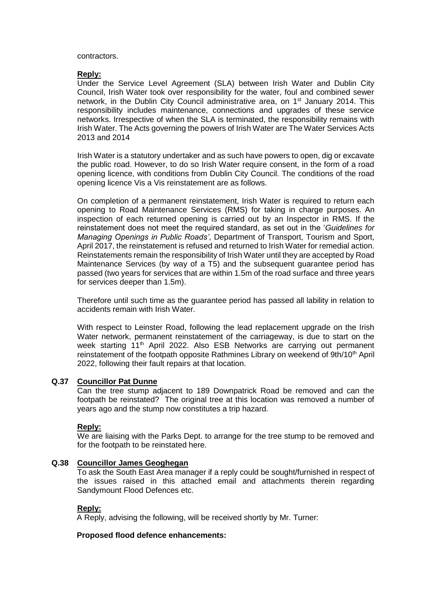contractors.

## **Reply:**

Under the Service Level Agreement (SLA) between Irish Water and Dublin City Council, Irish Water took over responsibility for the water, foul and combined sewer network, in the Dublin City Council administrative area, on 1<sup>st</sup> January 2014. This responsibility includes maintenance, connections and upgrades of these service networks. Irrespective of when the SLA is terminated, the responsibility remains with Irish Water. The Acts governing the powers of Irish Water are The Water Services Acts 2013 and 2014

Irish Water is a statutory undertaker and as such have powers to open, dig or excavate the public road. However, to do so Irish Water require consent, in the form of a road opening licence, with conditions from Dublin City Council. The conditions of the road opening licence Vis a Vis reinstatement are as follows.

On completion of a permanent reinstatement, Irish Water is required to return each opening to Road Maintenance Services (RMS) for taking in charge purposes. An inspection of each returned opening is carried out by an Inspector in RMS. If the reinstatement does not meet the required standard, as set out in the '*Guidelines for Managing Openings in Public Roads'*, Department of Transport, Tourism and Sport, April 2017, the reinstatement is refused and returned to Irish Water for remedial action. Reinstatements remain the responsibility of Irish Water until they are accepted by Road Maintenance Services (by way of a T5) and the subsequent guarantee period has passed (two years for services that are within 1.5m of the road surface and three years for services deeper than 1.5m).

Therefore until such time as the guarantee period has passed all lability in relation to accidents remain with Irish Water.

With respect to Leinster Road, following the lead replacement upgrade on the Irish Water network, permanent reinstatement of the carriageway, is due to start on the week starting 11<sup>th</sup> April 2022. Also ESB Networks are carrying out permanent reinstatement of the footpath opposite Rathmines Library on weekend of 9th/10<sup>th</sup> April 2022, following their fault repairs at that location.

# **Q.37 Councillor Pat Dunne**

Can the tree stump adjacent to 189 Downpatrick Road be removed and can the footpath be reinstated? The original tree at this location was removed a number of years ago and the stump now constitutes a trip hazard.

# **Reply:**

We are liaising with the Parks Dept. to arrange for the tree stump to be removed and for the footpath to be reinstated here.

### **Q.38 Councillor James Geoghegan**

To ask the South East Area manager if a reply could be sought/furnished in respect of the issues raised in this attached email and attachments therein regarding Sandymount Flood Defences etc.

### **Reply:**

A Reply, advising the following, will be received shortly by Mr. Turner:

# **Proposed flood defence enhancements:**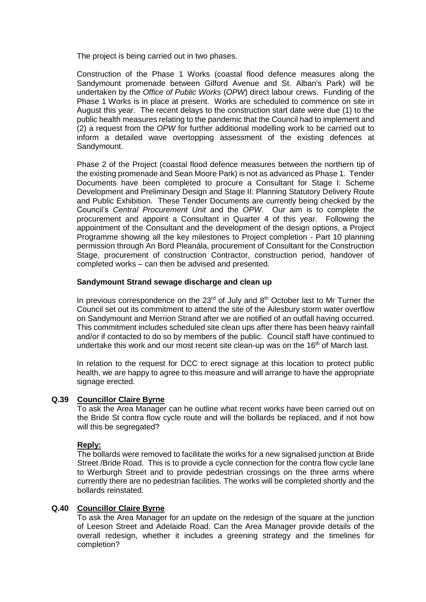The project is being carried out in two phases.

Construction of the Phase 1 Works (coastal flood defence measures along the Sandymount promenade between Gilford Avenue and St. Alban's Park) will be undertaken by the *Office of Public Works* (*OPW*) direct labour crews. Funding of the Phase 1 Works is in place at present. Works are scheduled to commence on site in August this year. The recent delays to the construction start date were due (1) to the public health measures relating to the pandemic that the Council had to implement and (2) a request from the *OPW* for further additional modelling work to be carried out to inform a detailed wave overtopping assessment of the existing defences at Sandymount.

Phase 2 of the Project (coastal flood defence measures between the northern tip of the existing promenade and Sean Moore Park) is not as advanced as Phase 1. Tender Documents have been completed to procure a Consultant for Stage I: Scheme Development and Preliminary Design and Stage II: Planning Statutory Delivery Route and Public Exhibition. These Tender Documents are currently being checked by the Council's *Central Procurement Unit* and the *OPW*. Our aim is to complete the procurement and appoint a Consultant in Quarter 4 of this year. Following the appointment of the Consultant and the development of the design options, a Project Programme showing all the key milestones to Project completion - Part 10 planning permission through An Bord Pleanála, procurement of Consultant for the Construction Stage, procurement of construction Contractor, construction period, handover of completed works – can then be advised and presented.

## **Sandymount Strand sewage discharge and clean up**

In previous correspondence on the  $23<sup>rd</sup>$  of July and  $8<sup>th</sup>$  October last to Mr Turner the Council set out its commitment to attend the site of the Ailesbury storm water overflow on Sandymount and Merrion Strand after we are notified of an outfall having occurred. This commitment includes scheduled site clean ups after there has been heavy rainfall and/or if contacted to do so by members of the public. Council staff have continued to undertake this work and our most recent site clean-up was on the 16<sup>th</sup> of March last.

In relation to the request for DCC to erect signage at this location to protect public health, we are happy to agree to this measure and will arrange to have the appropriate signage erected.

# **Q.39 Councillor Claire Byrne**

To ask the Area Manager can he outline what recent works have been carried out on the Bride St contra flow cycle route and will the bollards be replaced, and if not how will this be segregated?

# **Reply:**

The bollards were removed to facilitate the works for a new signalised junction at Bride Street /Bride Road. This is to provide a cycle connection for the contra flow cycle lane to Werburgh Street and to provide pedestrian crossings on the three arms where currently there are no pedestrian facilities. The works will be completed shortly and the bollards reinstated.

# **Q.40 Councillor Claire Byrne**

To ask the Area Manager for an update on the redesign of the square at the junction of Leeson Street and Adelaide Road. Can the Area Manager provide details of the overall redesign, whether it includes a greening strategy and the timelines for completion?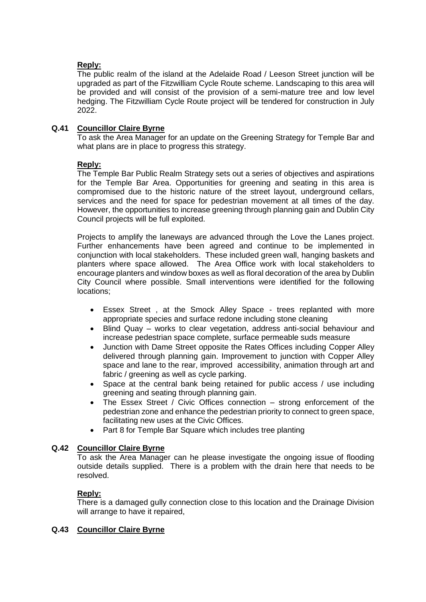# **Reply:**

The public realm of the island at the Adelaide Road / Leeson Street junction will be upgraded as part of the Fitzwilliam Cycle Route scheme. Landscaping to this area will be provided and will consist of the provision of a semi-mature tree and low level hedging. The Fitzwilliam Cycle Route project will be tendered for construction in July 2022.

# **Q.41 Councillor Claire Byrne**

To ask the Area Manager for an update on the Greening Strategy for Temple Bar and what plans are in place to progress this strategy.

# **Reply:**

The Temple Bar Public Realm Strategy sets out a series of objectives and aspirations for the Temple Bar Area. Opportunities for greening and seating in this area is compromised due to the historic nature of the street layout, underground cellars, services and the need for space for pedestrian movement at all times of the day. However, the opportunities to increase greening through planning gain and Dublin City Council projects will be full exploited.

Projects to amplify the laneways are advanced through the Love the Lanes project. Further enhancements have been agreed and continue to be implemented in conjunction with local stakeholders. These included green wall, hanging baskets and planters where space allowed. The Area Office work with local stakeholders to encourage planters and window boxes as well as floral decoration of the area by Dublin City Council where possible. Small interventions were identified for the following locations;

- Essex Street , at the Smock Alley Space trees replanted with more appropriate species and surface redone including stone cleaning
- Blind Quay works to clear vegetation, address anti-social behaviour and increase pedestrian space complete, surface permeable suds measure
- Junction with Dame Street opposite the Rates Offices including Copper Alley delivered through planning gain. Improvement to junction with Copper Alley space and lane to the rear, improved accessibility, animation through art and fabric / greening as well as cycle parking.
- Space at the central bank being retained for public access / use including greening and seating through planning gain.
- The Essex Street / Civic Offices connection strong enforcement of the pedestrian zone and enhance the pedestrian priority to connect to green space, facilitating new uses at the Civic Offices.
- Part 8 for Temple Bar Square which includes tree planting

# **Q.42 Councillor Claire Byrne**

To ask the Area Manager can he please investigate the ongoing issue of flooding outside details supplied. There is a problem with the drain here that needs to be resolved.

# **Reply:**

There is a damaged gully connection close to this location and the Drainage Division will arrange to have it repaired,

# **Q.43 Councillor Claire Byrne**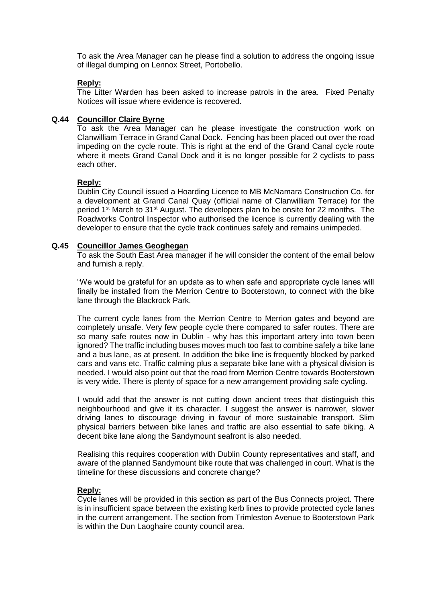To ask the Area Manager can he please find a solution to address the ongoing issue of illegal dumping on Lennox Street, Portobello.

## **Reply:**

The Litter Warden has been asked to increase patrols in the area. Fixed Penalty Notices will issue where evidence is recovered.

## **Q.44 Councillor Claire Byrne**

To ask the Area Manager can he please investigate the construction work on Clanwilliam Terrace in Grand Canal Dock. Fencing has been placed out over the road impeding on the cycle route. This is right at the end of the Grand Canal cycle route where it meets Grand Canal Dock and it is no longer possible for 2 cyclists to pass each other.

## **Reply:**

Dublin City Council issued a Hoarding Licence to MB McNamara Construction Co. for a development at Grand Canal Quay (official name of Clanwilliam Terrace) for the period 1<sup>st</sup> March to 31<sup>st</sup> August. The developers plan to be onsite for 22 months. The Roadworks Control Inspector who authorised the licence is currently dealing with the developer to ensure that the cycle track continues safely and remains unimpeded.

## **Q.45 Councillor James Geoghegan**

To ask the South East Area manager if he will consider the content of the email below and furnish a reply.

"We would be grateful for an update as to when safe and appropriate cycle lanes will finally be installed from the Merrion Centre to Booterstown, to connect with the bike lane through the Blackrock Park.

The current cycle lanes from the Merrion Centre to Merrion gates and beyond are completely unsafe. Very few people cycle there compared to safer routes. There are so many safe routes now in Dublin - why has this important artery into town been ignored? The traffic including buses moves much too fast to combine safely a bike lane and a bus lane, as at present. In addition the bike line is frequently blocked by parked cars and vans etc. Traffic calming plus a separate bike lane with a physical division is needed. I would also point out that the road from Merrion Centre towards Booterstown is very wide. There is plenty of space for a new arrangement providing safe cycling.

I would add that the answer is not cutting down ancient trees that distinguish this neighbourhood and give it its character. I suggest the answer is narrower, slower driving lanes to discourage driving in favour of more sustainable transport. Slim physical barriers between bike lanes and traffic are also essential to safe biking. A decent bike lane along the Sandymount seafront is also needed.

Realising this requires cooperation with Dublin County representatives and staff, and aware of the planned Sandymount bike route that was challenged in court. What is the timeline for these discussions and concrete change?

### **Reply:**

Cycle lanes will be provided in this section as part of the Bus Connects project. There is in insufficient space between the existing kerb lines to provide protected cycle lanes in the current arrangement. The section from Trimleston Avenue to Booterstown Park is within the Dun Laoghaire county council area.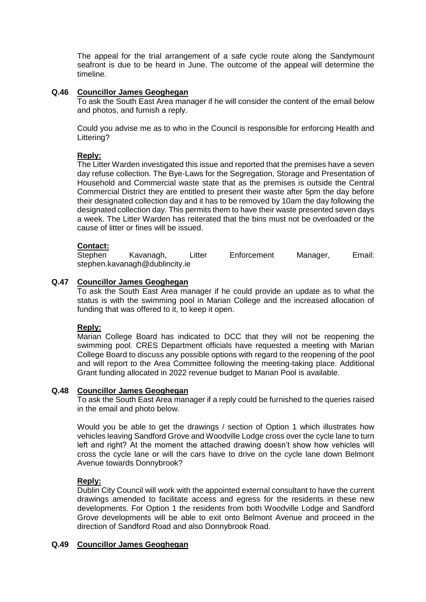The appeal for the trial arrangement of a safe cycle route along the Sandymount seafront is due to be heard in June. The outcome of the appeal will determine the timeline.

## **Q.46 Councillor James Geoghegan**

To ask the South East Area manager if he will consider the content of the email below and photos, and furnish a reply.

Could you advise me as to who in the Council is responsible for enforcing Health and Littering?

# **Reply:**

The Litter Warden investigated this issue and reported that the premises have a seven day refuse collection. The Bye-Laws for the Segregation, Storage and Presentation of Household and Commercial waste state that as the premises is outside the Central Commercial District they are entitled to present their waste after 5pm the day before their designated collection day and it has to be removed by 10am the day following the designated collection day. This permits them to have their waste presented seven days a week. The Litter Warden has reiterated that the bins must not be overloaded or the cause of litter or fines will be issued.

## **Contact:**

| Stephen | Kavanagh,                      | ∟itter | Enforcement | Manager, | Email: |
|---------|--------------------------------|--------|-------------|----------|--------|
|         | stephen.kavanagh@dublincity.ie |        |             |          |        |

## **Q.47 Councillor James Geoghegan**

To ask the South East Area manager if he could provide an update as to what the status is with the swimming pool in Marian College and the increased allocation of funding that was offered to it, to keep it open.

### **Reply:**

Marian College Board has indicated to DCC that they will not be reopening the swimming pool. CRES Department officials have requested a meeting with Marian College Board to discuss any possible options with regard to the reopening of the pool and will report to the Area Committee following the meeting-taking place. Additional Grant funding allocated in 2022 revenue budget to Marian Pool is available.

### **Q.48 Councillor James Geoghegan**

To ask the South East Area manager if a reply could be furnished to the queries raised in the email and photo below.

Would you be able to get the drawings / section of Option 1 which illustrates how vehicles leaving Sandford Grove and Woodville Lodge cross over the cycle lane to turn left and right? At the moment the attached drawing doesn't show how vehicles will cross the cycle lane or will the cars have to drive on the cycle lane down Belmont Avenue towards Donnybrook?

# **Reply:**

Dublin City Council will work with the appointed external consultant to have the current drawings amended to facilitate access and egress for the residents in these new developments. For Option 1 the residents from both Woodville Lodge and Sandford Grove developments will be able to exit onto Belmont Avenue and proceed in the direction of Sandford Road and also Donnybrook Road.

# **Q.49 Councillor James Geoghegan**